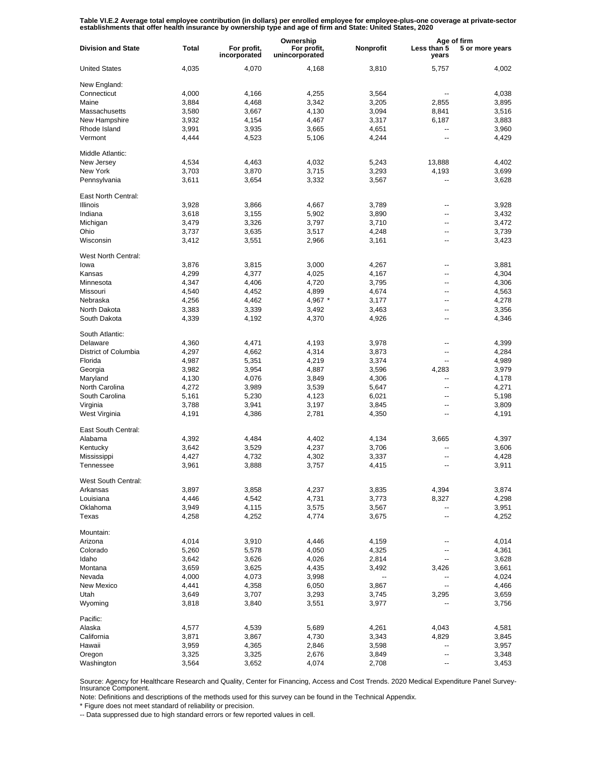Table VI.E.2 Average total employee contribution (in dollars) per enrolled employee for employee-plus-one coverage at private-sector<br>establishments that offer health insurance by ownership type and age of firm and State: U

|                           |              |                             | Ownership                     |           | Age of firm          |                 |
|---------------------------|--------------|-----------------------------|-------------------------------|-----------|----------------------|-----------------|
| <b>Division and State</b> | <b>Total</b> | For profit,<br>incorporated | For profit,<br>unincorporated | Nonprofit | Less than 5<br>years | 5 or more years |
| <b>United States</b>      | 4,035        | 4,070                       | 4,168                         | 3,810     | 5,757                | 4,002           |
| New England:              |              |                             |                               |           |                      |                 |
| Connecticut               | 4,000        | 4.166                       | 4,255                         | 3,564     |                      | 4,038           |
| Maine                     | 3,884        | 4.468                       | 3,342                         | 3,205     | 2,855                | 3,895           |
| Massachusetts             | 3,580        | 3,667                       | 4,130                         | 3,094     | 8,841                | 3,516           |
| New Hampshire             | 3,932        | 4,154                       | 4,467                         | 3,317     | 6,187                | 3,883           |
| Rhode Island              | 3,991        | 3,935                       | 3,665                         | 4,651     | ٠.                   | 3,960           |
| Vermont                   | 4,444        | 4,523                       | 5,106                         | 4,244     | ٠.                   | 4,429           |
| Middle Atlantic:          |              |                             |                               |           |                      |                 |
| New Jersey                | 4,534        | 4,463                       | 4,032                         | 5,243     | 13,888               | 4,402           |
| New York                  | 3,703        | 3,870                       | 3,715                         | 3,293     | 4,193                | 3,699           |
| Pennsylvania              | 3,611        | 3,654                       | 3,332                         | 3,567     | --                   | 3,628           |
| East North Central:       |              |                             |                               |           |                      |                 |
| <b>Illinois</b>           | 3,928        | 3,866                       | 4,667                         | 3,789     | ٠.                   | 3,928           |
| Indiana                   | 3,618        | 3,155                       | 5,902                         | 3,890     | --                   | 3,432           |
| Michigan                  | 3,479        | 3,326                       | 3,797                         | 3,710     | ٠.                   | 3,472           |
| Ohio                      | 3,737        | 3,635                       | 3,517                         | 4,248     | --                   | 3,739           |
| Wisconsin                 | 3,412        | 3,551                       | 2,966                         | 3,161     | ۵.                   | 3,423           |
| West North Central:       |              |                             |                               |           |                      |                 |
| lowa                      | 3,876        | 3,815                       | 3,000                         | 4,267     | --                   | 3,881           |
| Kansas                    | 4,299        | 4.377                       | 4,025                         | 4,167     | --                   | 4,304           |
| Minnesota                 | 4,347        | 4,406                       | 4,720                         | 3,795     | ٠.                   | 4,306           |
| Missouri                  | 4,540        | 4,452                       | 4,899                         | 4,674     | --                   | 4,563           |
|                           |              |                             |                               |           | --                   |                 |
| Nebraska                  | 4,256        | 4,462                       | 4,967 *                       | 3,177     |                      | 4,278           |
| North Dakota              | 3,383        | 3,339                       | 3,492                         | 3,463     | --                   | 3,356           |
| South Dakota              | 4,339        | 4,192                       | 4,370                         | 4,926     | ٠.                   | 4,346           |
| South Atlantic:           |              |                             |                               |           |                      |                 |
| Delaware                  | 4,360        | 4,471                       | 4,193                         | 3,978     | --                   | 4,399           |
| District of Columbia      | 4,297        | 4,662                       | 4,314                         | 3,873     | --                   | 4,284           |
| Florida                   | 4,987        | 5,351                       | 4,219                         | 3,374     | $\overline{a}$       | 4,989           |
| Georgia                   | 3,982        | 3,954                       | 4,887                         | 3,596     | 4,283                | 3,979           |
| Maryland                  | 4,130        | 4,076                       | 3,849                         | 4,306     | --                   | 4,178           |
| North Carolina            | 4,272        | 3,989                       | 3,539                         | 5,647     | --                   | 4,271           |
| South Carolina            | 5,161        | 5,230                       | 4,123                         | 6,021     | --                   | 5,198           |
| Virginia                  | 3,788        | 3,941                       | 3,197                         | 3,845     | --                   | 3,809           |
| West Virginia             | 4,191        | 4,386                       | 2,781                         | 4,350     | --                   | 4,191           |
| East South Central:       |              |                             |                               |           |                      |                 |
|                           |              |                             |                               |           |                      |                 |
| Alabama                   | 4,392        | 4,484                       | 4,402                         | 4,134     | 3,665                | 4,397           |
| Kentucky                  | 3,642        | 3,529                       | 4,237                         | 3,706     | ۵.                   | 3,606           |
| Mississippi               | 4,427        | 4,732                       | 4,302                         | 3,337     | ۵.                   | 4,428           |
| Tennessee                 | 3,961        | 3,888                       | 3,757                         | 4,415     | ۵.                   | 3,911           |
| West South Central:       |              |                             |                               |           |                      |                 |
| Arkansas                  | 3,897        | 3,858                       | 4,237                         | 3,835     | 4,394                | 3,874           |
| Louisiana                 | 4,446        | 4,542                       | 4,731                         | 3,773     | 8,327                | 4,298           |
| Oklahoma                  | 3,949        | 4,115                       | 3,575                         | 3,567     | --                   | 3,951           |
| Texas                     | 4,258        | 4,252                       | 4,774                         | 3,675     | -−                   | 4,252           |
| Mountain:                 |              |                             |                               |           |                      |                 |
| Arizona                   | 4,014        | 3,910                       | 4,446                         | 4,159     | ۰.                   | 4,014           |
| Colorado                  | 5,260        | 5,578                       | 4,050                         | 4,325     | --                   | 4,361           |
| Idaho                     | 3,642        | 3,626                       | 4,026                         | 2,814     | --                   | 3,628           |
| Montana                   | 3,659        | 3,625                       | 4,435                         | 3,492     | 3,426                | 3,661           |
| Nevada                    | 4,000        | 4,073                       | 3,998                         | --        | ۰.                   | 4,024           |
| New Mexico                | 4,441        | 4,358                       | 6,050                         | 3,867     | --                   | 4,466           |
| Utah                      | 3,649        | 3,707                       | 3,293                         | 3,745     | 3,295                | 3,659           |
| Wyoming                   | 3,818        | 3,840                       | 3,551                         | 3,977     |                      | 3,756           |
|                           |              |                             |                               |           |                      |                 |
| Pacific:                  |              |                             |                               |           |                      |                 |
| Alaska                    | 4,577        | 4,539                       | 5,689                         | 4,261     | 4,043                | 4,581           |
| California                | 3,871        | 3,867                       | 4,730                         | 3,343     | 4,829                | 3,845           |
| Hawaii                    | 3,959        | 4,365                       | 2,846                         | 3,598     | --                   | 3,957           |
| Oregon                    | 3,325        | 3,325                       | 2,676                         | 3,849     | --                   | 3,348           |
| Washington                | 3,564        | 3,652                       | 4,074                         | 2,708     |                      | 3,453           |

Source: Agency for Healthcare Research and Quality, Center for Financing, Access and Cost Trends. 2020 Medical Expenditure Panel Survey-Insurance Component.

Note: Definitions and descriptions of the methods used for this survey can be found in the Technical Appendix.

\* Figure does not meet standard of reliability or precision.

-- Data suppressed due to high standard errors or few reported values in cell.